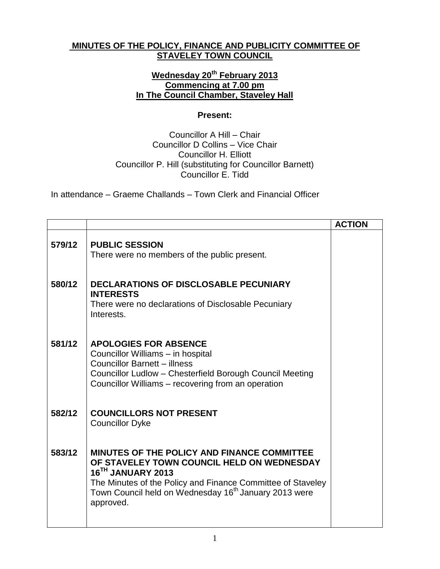## **MINUTES OF THE POLICY, FINANCE AND PUBLICITY COMMITTEE OF STAVELEY TOWN COUNCIL**

## **Wednesday 20th February 2013 Commencing at 7.00 pm In The Council Chamber, Staveley Hall**

## **Present:**

Councillor A Hill – Chair Councillor D Collins – Vice Chair Councillor H. Elliott Councillor P. Hill (substituting for Councillor Barnett) Councillor E. Tidd

In attendance – Graeme Challands – Town Clerk and Financial Officer

|        |                                                                                                                                                                                                                                                                 | <b>ACTION</b> |
|--------|-----------------------------------------------------------------------------------------------------------------------------------------------------------------------------------------------------------------------------------------------------------------|---------------|
| 579/12 | <b>PUBLIC SESSION</b><br>There were no members of the public present.                                                                                                                                                                                           |               |
| 580/12 | <b>DECLARATIONS OF DISCLOSABLE PECUNIARY</b><br><b>INTERESTS</b><br>There were no declarations of Disclosable Pecuniary<br>Interests.                                                                                                                           |               |
| 581/12 | <b>APOLOGIES FOR ABSENCE</b><br>Councillor Williams - in hospital<br><b>Councillor Barnett - illness</b><br>Councillor Ludlow - Chesterfield Borough Council Meeting<br>Councillor Williams - recovering from an operation                                      |               |
| 582/12 | <b>COUNCILLORS NOT PRESENT</b><br><b>Councillor Dyke</b>                                                                                                                                                                                                        |               |
| 583/12 | MINUTES OF THE POLICY AND FINANCE COMMITTEE<br>OF STAVELEY TOWN COUNCIL HELD ON WEDNESDAY<br>16TH JANUARY 2013<br>The Minutes of the Policy and Finance Committee of Staveley<br>Town Council held on Wednesday 16 <sup>th</sup> January 2013 were<br>approved. |               |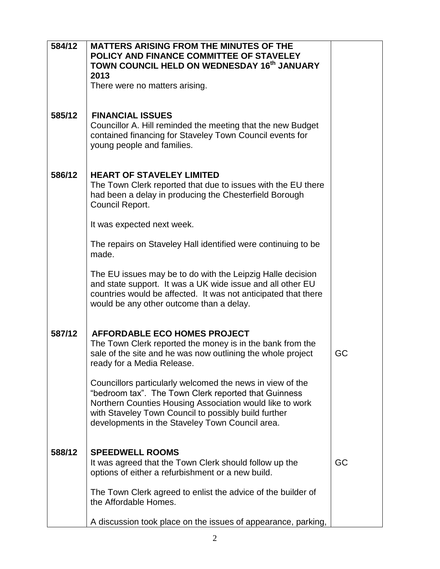| 584/12 | <b>MATTERS ARISING FROM THE MINUTES OF THE</b><br>POLICY AND FINANCE COMMITTEE OF STAVELEY<br>TOWN COUNCIL HELD ON WEDNESDAY 16th JANUARY<br>2013                                                                                                                                        |    |
|--------|------------------------------------------------------------------------------------------------------------------------------------------------------------------------------------------------------------------------------------------------------------------------------------------|----|
|        | There were no matters arising.                                                                                                                                                                                                                                                           |    |
| 585/12 | <b>FINANCIAL ISSUES</b><br>Councillor A. Hill reminded the meeting that the new Budget<br>contained financing for Staveley Town Council events for<br>young people and families.                                                                                                         |    |
| 586/12 | <b>HEART OF STAVELEY LIMITED</b><br>The Town Clerk reported that due to issues with the EU there<br>had been a delay in producing the Chesterfield Borough<br>Council Report.                                                                                                            |    |
|        | It was expected next week.                                                                                                                                                                                                                                                               |    |
|        | The repairs on Staveley Hall identified were continuing to be<br>made.                                                                                                                                                                                                                   |    |
|        | The EU issues may be to do with the Leipzig Halle decision<br>and state support. It was a UK wide issue and all other EU<br>countries would be affected. It was not anticipated that there<br>would be any other outcome than a delay.                                                   |    |
| 587/12 | <b>AFFORDABLE ECO HOMES PROJECT</b><br>The Town Clerk reported the money is in the bank from the<br>sale of the site and he was now outlining the whole project<br>ready for a Media Release.                                                                                            | GC |
|        | Councillors particularly welcomed the news in view of the<br>"bedroom tax". The Town Clerk reported that Guinness<br>Northern Counties Housing Association would like to work<br>with Staveley Town Council to possibly build further<br>developments in the Staveley Town Council area. |    |
| 588/12 | <b>SPEEDWELL ROOMS</b>                                                                                                                                                                                                                                                                   |    |
|        | It was agreed that the Town Clerk should follow up the<br>options of either a refurbishment or a new build.                                                                                                                                                                              | GC |
|        | The Town Clerk agreed to enlist the advice of the builder of<br>the Affordable Homes.                                                                                                                                                                                                    |    |
|        | A discussion took place on the issues of appearance, parking,                                                                                                                                                                                                                            |    |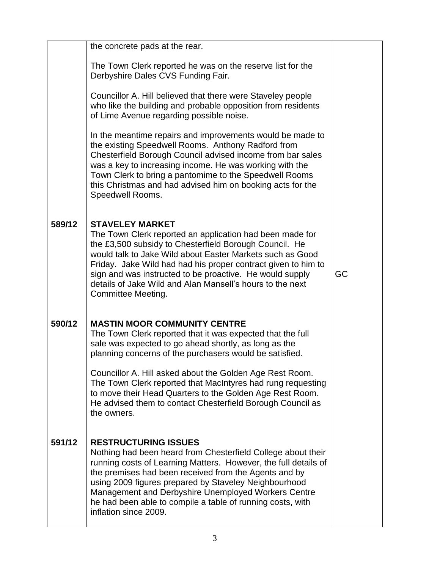|        | the concrete pads at the rear.                                                                                                                                                                                                                                                                                                                                                                                                 |    |
|--------|--------------------------------------------------------------------------------------------------------------------------------------------------------------------------------------------------------------------------------------------------------------------------------------------------------------------------------------------------------------------------------------------------------------------------------|----|
|        | The Town Clerk reported he was on the reserve list for the<br>Derbyshire Dales CVS Funding Fair.                                                                                                                                                                                                                                                                                                                               |    |
|        | Councillor A. Hill believed that there were Staveley people<br>who like the building and probable opposition from residents<br>of Lime Avenue regarding possible noise.                                                                                                                                                                                                                                                        |    |
|        | In the meantime repairs and improvements would be made to<br>the existing Speedwell Rooms. Anthony Radford from<br>Chesterfield Borough Council advised income from bar sales<br>was a key to increasing income. He was working with the<br>Town Clerk to bring a pantomime to the Speedwell Rooms<br>this Christmas and had advised him on booking acts for the<br>Speedwell Rooms.                                           |    |
| 589/12 | <b>STAVELEY MARKET</b><br>The Town Clerk reported an application had been made for<br>the £3,500 subsidy to Chesterfield Borough Council. He<br>would talk to Jake Wild about Easter Markets such as Good<br>Friday. Jake Wild had had his proper contract given to him to<br>sign and was instructed to be proactive. He would supply<br>details of Jake Wild and Alan Mansell's hours to the next<br>Committee Meeting.      | GC |
| 590/12 | <b>MASTIN MOOR COMMUNITY CENTRE</b><br>The Town Clerk reported that it was expected that the full<br>sale was expected to go ahead shortly, as long as the<br>planning concerns of the purchasers would be satisfied.                                                                                                                                                                                                          |    |
|        | Councillor A. Hill asked about the Golden Age Rest Room.<br>The Town Clerk reported that MacIntyres had rung requesting<br>to move their Head Quarters to the Golden Age Rest Room.<br>He advised them to contact Chesterfield Borough Council as<br>the owners.                                                                                                                                                               |    |
| 591/12 | <b>RESTRUCTURING ISSUES</b><br>Nothing had been heard from Chesterfield College about their<br>running costs of Learning Matters. However, the full details of<br>the premises had been received from the Agents and by<br>using 2009 figures prepared by Staveley Neighbourhood<br>Management and Derbyshire Unemployed Workers Centre<br>he had been able to compile a table of running costs, with<br>inflation since 2009. |    |